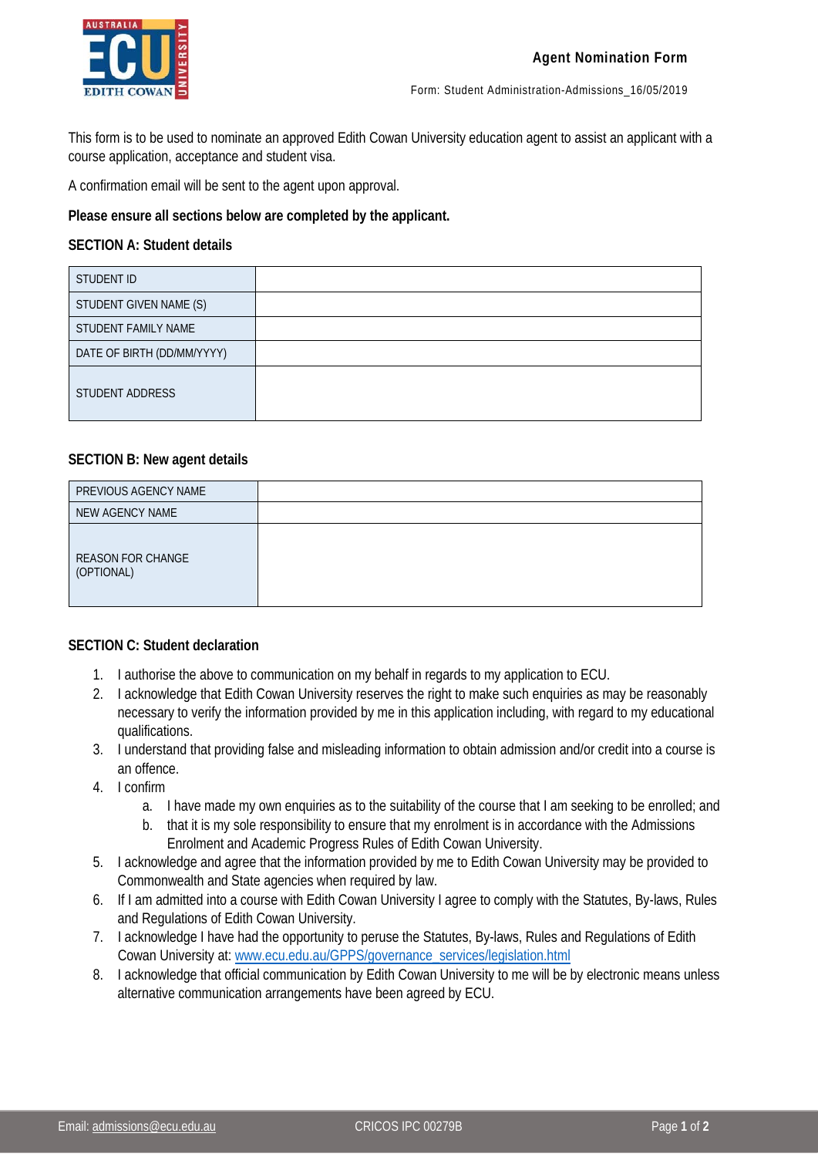

This form is to be used to nominate an approved Edith Cowan University education agent to assist an applicant with a course application, acceptance and student visa.

A confirmation email will be sent to the agent upon approval.

**Please ensure all sections below are completed by the applicant.**

## **SECTION A: Student details**

| STUDENT ID                 |  |
|----------------------------|--|
| STUDENT GIVEN NAME (S)     |  |
| STUDENT FAMILY NAME        |  |
| DATE OF BIRTH (DD/MM/YYYY) |  |
| STUDENT ADDRESS            |  |

## **SECTION B: New agent details**

| PREVIOUS AGENCY NAME                   |  |
|----------------------------------------|--|
| NEW AGENCY NAME                        |  |
| <b>REASON FOR CHANGE</b><br>(OPTIONAL) |  |

## **SECTION C: Student declaration**

- 1. I authorise the above to communication on my behalf in regards to my application to ECU.
- 2. I acknowledge that Edith Cowan University reserves the right to make such enquiries as may be reasonably necessary to verify the information provided by me in this application including, with regard to my educational qualifications.
- 3. I understand that providing false and misleading information to obtain admission and/or credit into a course is an offence.
- 4. I confirm
	- a. I have made my own enquiries as to the suitability of the course that I am seeking to be enrolled; and
	- b. that it is my sole responsibility to ensure that my enrolment is in accordance with the Admissions Enrolment and Academic Progress Rules of Edith Cowan University.
- 5. I acknowledge and agree that the information provided by me to Edith Cowan University may be provided to Commonwealth and State agencies when required by law.
- 6. If I am admitted into a course with Edith Cowan University I agree to comply with the Statutes, By-laws, Rules and Regulations of Edith Cowan University.
- 7. I acknowledge I have had the opportunity to peruse the Statutes, By-laws, Rules and Regulations of Edith Cowan University at: [www.ecu.edu.au/GPPS/governance\\_services/legislation.html](http://www.ecu.edu.au/GPPS/governance_services/legislation.html)
- 8. I acknowledge that official communication by Edith Cowan University to me will be by electronic means unless alternative communication arrangements have been agreed by ECU.